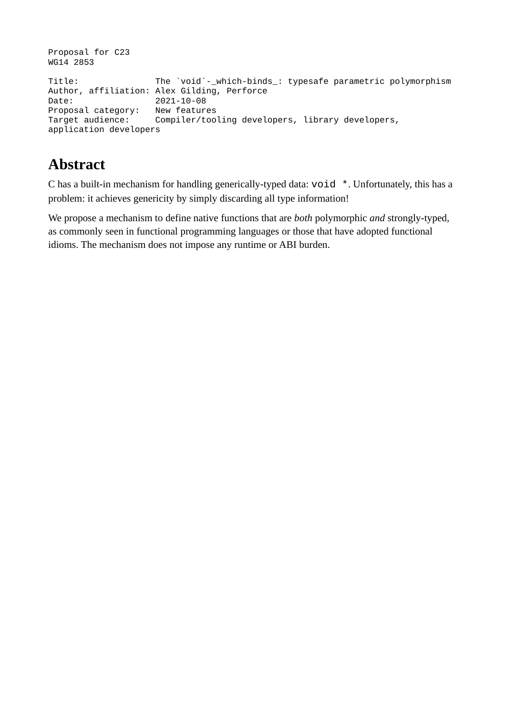```
Proposal for C23
WG14 2853
Title: The `void`-_which-binds_: typesafe parametric polymorphism
Author, affiliation: Alex Gilding, Perforce<br>Date: 2021-10-08
                        2021-10-08<br>New features
Proposal category:<br>Target audience:
                        Compiler/tooling developers, library developers,
application developers
```
# **Abstract**

C has a built-in mechanism for handling generically-typed data:  $void *$ . Unfortunately, this has a problem: it achieves genericity by simply discarding all type information!

We propose a mechanism to define native functions that are *both* polymorphic *and* strongly-typed, as commonly seen in functional programming languages or those that have adopted functional idioms. The mechanism does not impose any runtime or ABI burden.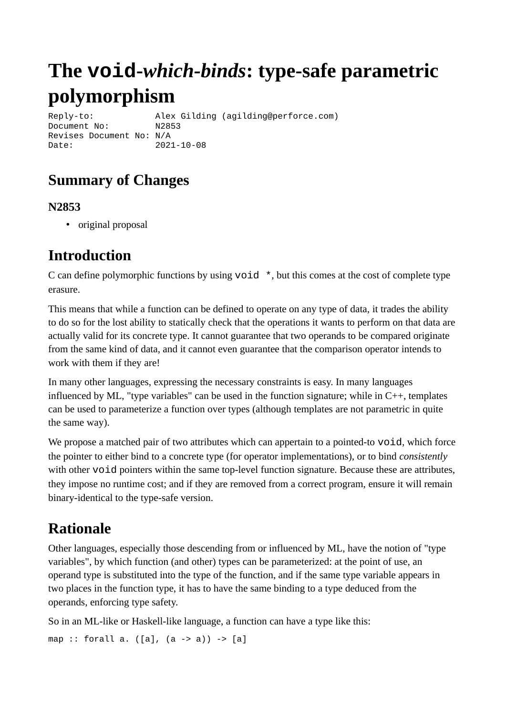# **The void-***which-binds***: type-safe parametric polymorphism**

Reply-to: Alex Gilding (agilding@perforce.com) Document No: N2853 Revises Document No: N/A Date: 2021-10-08

## **Summary of Changes**

### **N2853**

• original proposal

## **Introduction**

C can define polymorphic functions by using  $\vee$  oid  $*$ , but this comes at the cost of complete type erasure.

This means that while a function can be defined to operate on any type of data, it trades the ability to do so for the lost ability to statically check that the operations it wants to perform on that data are actually valid for its concrete type. It cannot guarantee that two operands to be compared originate from the same kind of data, and it cannot even guarantee that the comparison operator intends to work with them if they are!

In many other languages, expressing the necessary constraints is easy. In many languages influenced by ML, "type variables" can be used in the function signature; while in C++, templates can be used to parameterize a function over types (although templates are not parametric in quite the same way).

We propose a matched pair of two attributes which can appertain to a pointed-to  $\vee$ oid, which force the pointer to either bind to a concrete type (for operator implementations), or to bind *consistently* with other void pointers within the same top-level function signature. Because these are attributes, they impose no runtime cost; and if they are removed from a correct program, ensure it will remain binary-identical to the type-safe version.

# **Rationale**

Other languages, especially those descending from or influenced by ML, have the notion of "type variables", by which function (and other) types can be parameterized: at the point of use, an operand type is substituted into the type of the function, and if the same type variable appears in two places in the function type, it has to have the same binding to a type deduced from the operands, enforcing type safety.

So in an ML-like or Haskell-like language, a function can have a type like this:

```
map :: forall a. ([a], (a -> a)) -> [a]
```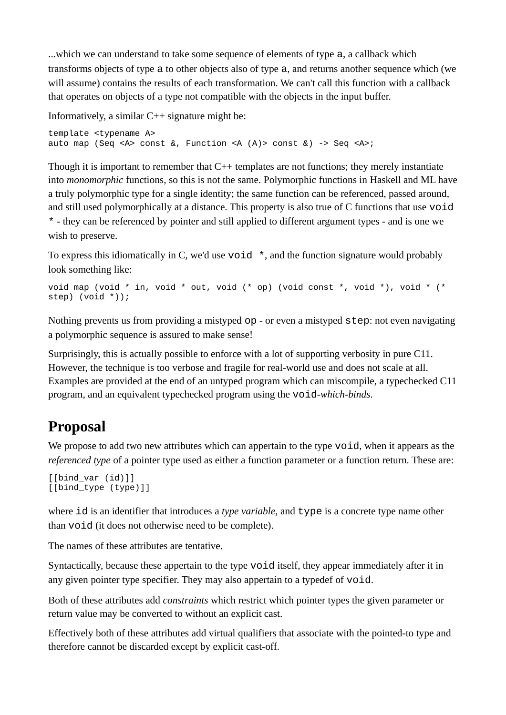...which we can understand to take some sequence of elements of type a, a callback which transforms objects of type a to other objects also of type a, and returns another sequence which (we will assume) contains the results of each transformation. We can't call this function with a callback that operates on objects of a type not compatible with the objects in the input buffer.

```
Informatively, a similar C++ signature might be:
```

```
template <typename A>
auto map (Seq <A> const &, Function <A (A)> const &) -> Seq <A>;
```
Though it is important to remember that  $C^{++}$  templates are not functions; they merely instantiate into *monomorphic* functions, so this is not the same. Polymorphic functions in Haskell and ML have a truly polymorphic type for a single identity; the same function can be referenced, passed around, and still used polymorphically at a distance. This property is also true of C functions that use void \* - they can be referenced by pointer and still applied to different argument types - and is one we wish to preserve.

To express this idiomatically in C, we'd use  $\vee$  void  $*$ , and the function signature would probably look something like:

```
void map (void * in, void * out, void (* op) (void const *, void *), void * (* 
step) (void *));
```
Nothing prevents us from providing a mistyped op - or even a mistyped step: not even navigating a polymorphic sequence is assured to make sense!

Surprisingly, this is actually possible to enforce with a lot of supporting verbosity in pure C11. However, the technique is too verbose and fragile for real-world use and does not scale at all. Examples are provided at the end of an untyped program which can miscompile, a typechecked C11 program, and an equivalent typechecked program using the void-*which-binds*.

# **Proposal**

We propose to add two new attributes which can appertain to the type  $void$ , when it appears as the *referenced type* of a pointer type used as either a function parameter or a function return. These are:

```
[[bind_var (id)]]
[[bind_type (type)]]
```
where id is an identifier that introduces a *type variable*, and type is a concrete type name other than void (it does not otherwise need to be complete).

The names of these attributes are tentative.

Syntactically, because these appertain to the type  $void$  itself, they appear immediately after it in any given pointer type specifier. They may also appertain to a typedef of  $\vee$ oid.

Both of these attributes add *constraints* which restrict which pointer types the given parameter or return value may be converted to without an explicit cast.

Effectively both of these attributes add virtual qualifiers that associate with the pointed-to type and therefore cannot be discarded except by explicit cast-off.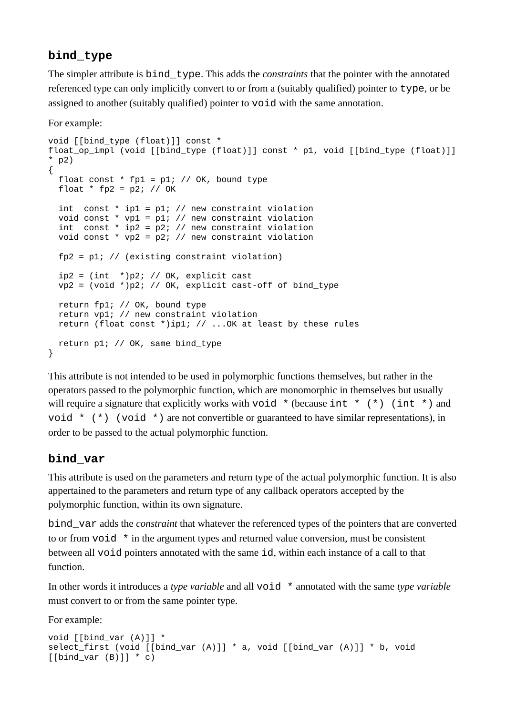### **bind\_type**

The simpler attribute is bind\_type. This adds the *constraints* that the pointer with the annotated referenced type can only implicitly convert to or from a (suitably qualified) pointer to type, or be assigned to another (suitably qualified) pointer to  $\vee$ oid with the same annotation.

For example:

```
void [[bind_type (float)]] const *
float_op_impl (void [[bind_type (float)]] const * p1, void [[bind_type (float)]]
* p2)
{
  float const * fp1 = p1; // OK, bound type
 float * fp2 = p2; // OK
 int const * ip1 = p1; // new constraint violation
 void const * vp1 = p1; // new constraint violation
  int const * ip2 = p2; // new constraint violation
 void const * vp2 = p2; // new constraint violation
  fp2 = p1; // (existing constraint violation)
 ip2 = (int *)p2; // OK, explicit cast
 vp2 = (void *)p2; // OK, explicit cast-off of bind_type
   return fp1; // OK, bound type
 return vp1; // new constraint violation
 return (float const *)ip1; // ...OK at least by these rules
  return p1; // OK, same bind_type
}
```
This attribute is not intended to be used in polymorphic functions themselves, but rather in the operators passed to the polymorphic function, which are monomorphic in themselves but usually will require a signature that explicitly works with  $\text{void} \cdot \text{ (because int } \cdot \text{ (*) (int } \cdot \text{) and }$ void  $*$  ( $*$ ) (void  $*$ ) are not convertible or guaranteed to have similar representations), in order to be passed to the actual polymorphic function.

### **bind\_var**

This attribute is used on the parameters and return type of the actual polymorphic function. It is also appertained to the parameters and return type of any callback operators accepted by the polymorphic function, within its own signature.

bind\_var adds the *constraint* that whatever the referenced types of the pointers that are converted to or from  $\text{void} \cdot \text{*}$  in the argument types and returned value conversion, must be consistent between all void pointers annotated with the same id, within each instance of a call to that function.

In other words it introduces a *type variable* and all void \* annotated with the same *type variable* must convert to or from the same pointer type.

For example:

```
void [[bind var (A)]] *select_first (void \int[bind_var (A)]] * a, void \int[bind_var (A)]] * b, void
[[bind_var (B)]] * c)
```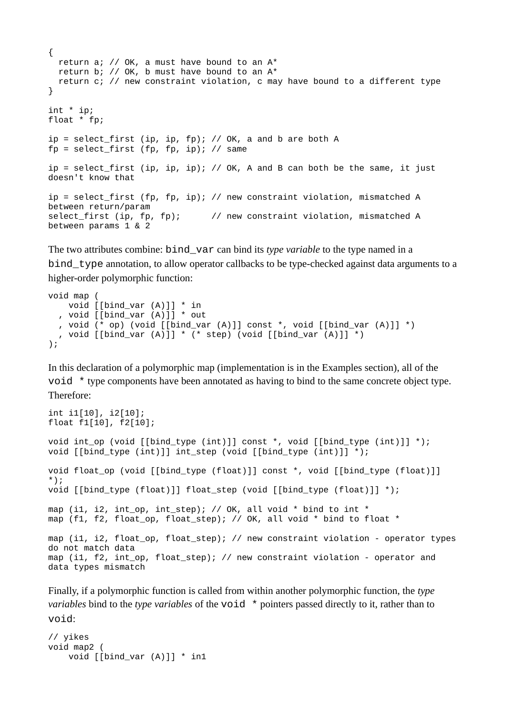```
{
 return a; // OK, a must have bound to an A*
 return b; // OK, b must have bound to an A*
  return c; // new constraint violation, c may have bound to a different type
}
int * ip;
float * fp;
ip = select_first (ip, ip, fp); // OK, a and b are both A
fp = select_first (fp, fp, ip); // sameip = select_first (ip, ip, ip); // OK, A and B can both be the same, it just 
doesn't know that
ip = select_first (fp, fp, ip); // new constraint violation, mismatched A 
between return/param<br>select_first (ip, fp, fp);
                                // new constraint violation, mismatched A
between params 1 & 2
```
The two attributes combine: **bind** var can bind its *type variable* to the type named in a bind\_type annotation, to allow operator callbacks to be type-checked against data arguments to a higher-order polymorphic function:

```
void map
     void [[bind_var (A)]] * in
  , void [\text{bind}_\text{var}(A)] * out
  , void (\bar{x} op) (void [\bar{b}ind_var (A)]] const \bar{x}, void [\bar{b}ind_var (A)]] \bar{x})
   , void [[bind_var (A)]] * (* step) (void [[bind_var (A)]] *)
);
```
In this declaration of a polymorphic map (implementation is in the Examples section), all of the void \* type components have been annotated as having to bind to the same concrete object type. Therefore:

```
int i1[10], i2[10];
float f1[10], f2[10];
void int_op (void \lceil \frac{\text{bind}}{\text{wind}} \cdot \text{type} (int)]] const *, void \lceil \frac{\text{bind}}{\text{wind}} \cdot \text{type} (int)]] *);
void [[bind_type (int)]] int_step (void [[bind_type (int)]] *);
void float_op (void [[bind_type (float)]] const *, void [[bind_type (float)]] 
*);
void [[bind_type (float)]] float_step (void [[bind_type (float)]] *);
map (i1, i2, int_op, int_step); // OK, all void * bind to int *map (f1, f2, float_op, float_step); // OK, all void * bind to float *
map (i1, i2, float_op, float_step); // new constraint violation - operator types
do not match data
map (i1, f2, int_op, float_step); // new constraint violation - operator and 
data types mismatch
```
Finally, if a polymorphic function is called from within another polymorphic function, the *type variables* bind to the *type variables* of the **void**  $*$  pointers passed directly to it, rather than to void:

// yikes void map2 ( void [[bind\_var (A)]] \* in1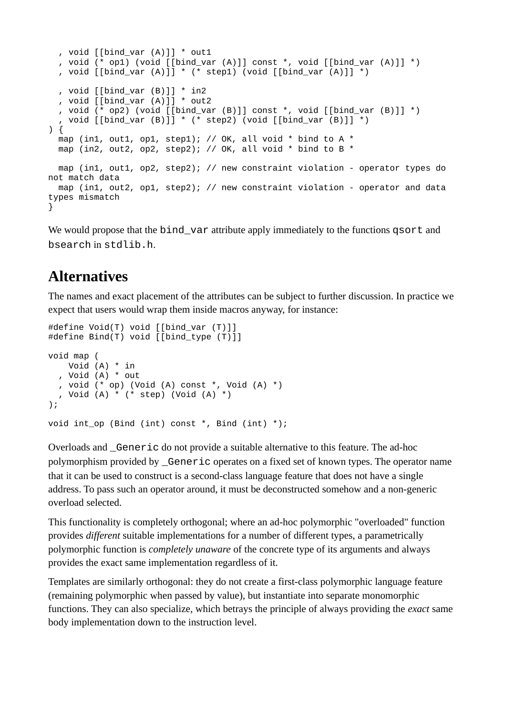```
 , void [[bind_var (A)]] * out1
  , void (\bar{x} \text{ opt}) (void [[bind_var (A)]] const \bar{x}, void [[bind_var (A)]] \bar{x})
  , void \lceil \frac{\text{bind}}{\text{var}}(A) \rceil \rceil * (* step1) (void \lceil \frac{\text{bind}}{\text{var}}(A) \rceil \rceil *)
   , void [[bind_var (B)]] * in2
  , void \overline{[}bind_var \overline{(}A)\overline{]} * out2
   , void (* op2) (void [[bind_var (B)]] const *, void [[bind_var (B)]] *)
  , void [[bind\_var (B)]] * (* step2) (void [[bind\_var (B)]] * )) {
  map (in1, out1, op1, step1); // OK, all void * bind to A *map (in2, out2, op2, step2); // OK, all void * bind to B * map (in1, out1, op2, step2); // new constraint violation - operator types do 
not match data
   map (in1, out2, op1, step2); // new constraint violation - operator and data 
types mismatch
}
```
We would propose that the bind var attribute apply immediately to the functions qsort and bsearch in stdlib.h.

### **Alternatives**

The names and exact placement of the attributes can be subject to further discussion. In practice we expect that users would wrap them inside macros anyway, for instance:

```
#define Void(T) void [[bind_var (T)]]
#define Bind(T) void [\bar{b}]ind_type (T)]]
void map (
     Void (A) * in
   , Void (A) * out
  , void (\star' \circ p) (Void (A) const \star, Void (A) \star)
  , Void (A) \star (\star step) (Void (A) \star)
);
void int op (Bind (int) const *, Bind (int) *);
```
Overloads and \_Generic do not provide a suitable alternative to this feature. The ad-hoc polymorphism provided by \_Generic operates on a fixed set of known types. The operator name that it can be used to construct is a second-class language feature that does not have a single address. To pass such an operator around, it must be deconstructed somehow and a non-generic overload selected.

This functionality is completely orthogonal; where an ad-hoc polymorphic "overloaded" function provides *different* suitable implementations for a number of different types, a parametrically polymorphic function is *completely unaware* of the concrete type of its arguments and always provides the exact same implementation regardless of it.

Templates are similarly orthogonal: they do not create a first-class polymorphic language feature (remaining polymorphic when passed by value), but instantiate into separate monomorphic functions. They can also specialize, which betrays the principle of always providing the *exact* same body implementation down to the instruction level.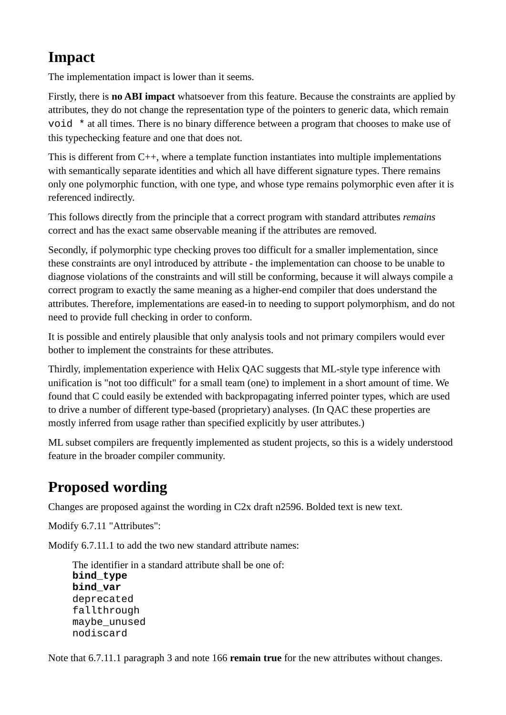# **Impact**

The implementation impact is lower than it seems.

Firstly, there is **no ABI impact** whatsoever from this feature. Because the constraints are applied by attributes, they do not change the representation type of the pointers to generic data, which remain void \* at all times. There is no binary difference between a program that chooses to make use of this typechecking feature and one that does not.

This is different from C++, where a template function instantiates into multiple implementations with semantically separate identities and which all have different signature types. There remains only one polymorphic function, with one type, and whose type remains polymorphic even after it is referenced indirectly.

This follows directly from the principle that a correct program with standard attributes *remains* correct and has the exact same observable meaning if the attributes are removed.

Secondly, if polymorphic type checking proves too difficult for a smaller implementation, since these constraints are onyl introduced by attribute - the implementation can choose to be unable to diagnose violations of the constraints and will still be conforming, because it will always compile a correct program to exactly the same meaning as a higher-end compiler that does understand the attributes. Therefore, implementations are eased-in to needing to support polymorphism, and do not need to provide full checking in order to conform.

It is possible and entirely plausible that only analysis tools and not primary compilers would ever bother to implement the constraints for these attributes.

Thirdly, implementation experience with Helix QAC suggests that ML-style type inference with unification is "not too difficult" for a small team (one) to implement in a short amount of time. We found that C could easily be extended with backpropagating inferred pointer types, which are used to drive a number of different type-based (proprietary) analyses. (In QAC these properties are mostly inferred from usage rather than specified explicitly by user attributes.)

ML subset compilers are frequently implemented as student projects, so this is a widely understood feature in the broader compiler community.

# **Proposed wording**

Changes are proposed against the wording in C2x draft n2596. Bolded text is new text.

Modify 6.7.11 "Attributes":

Modify 6.7.11.1 to add the two new standard attribute names:

```
The identifier in a standard attribute shall be one of:
bind_type
bind_var
deprecated
fallthrough
maybe_unused
nodiscard
```
Note that 6.7.11.1 paragraph 3 and note 166 **remain true** for the new attributes without changes.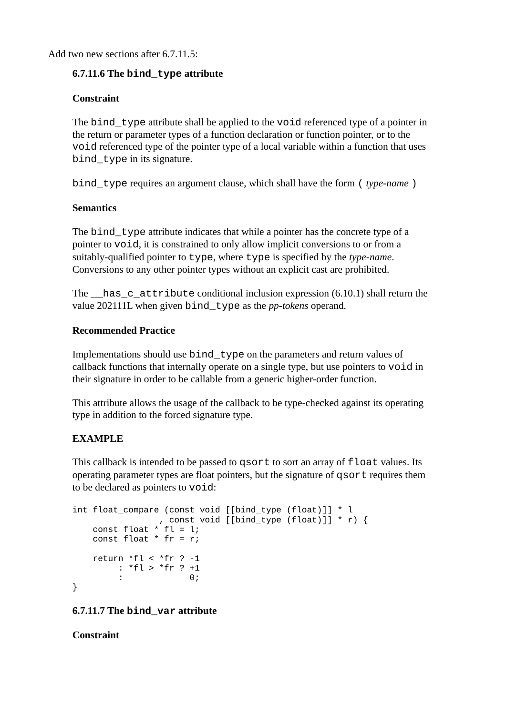Add two new sections after 6.7.11.5:

#### **6.7.11.6 The bind\_type attribute**

#### **Constraint**

The bind\_type attribute shall be applied to the void referenced type of a pointer in the return or parameter types of a function declaration or function pointer, or to the void referenced type of the pointer type of a local variable within a function that uses bind type in its signature.

bind\_type requires an argument clause, which shall have the form ( *type-name* )

#### **Semantics**

The bind\_type attribute indicates that while a pointer has the concrete type of a pointer to  $void$ , it is constrained to only allow implicit conversions to or from a suitably-qualified pointer to type, where type is specified by the *type-name*. Conversions to any other pointer types without an explicit cast are prohibited.

The  $\overline{h}$  has c attribute conditional inclusion expression (6.10.1) shall return the value 202111L when given bind\_type as the *pp-tokens* operand.

#### **Recommended Practice**

Implementations should use bind\_type on the parameters and return values of callback functions that internally operate on a single type, but use pointers to void in their signature in order to be callable from a generic higher-order function.

This attribute allows the usage of the callback to be type-checked against its operating type in addition to the forced signature type.

#### **EXAMPLE**

This callback is intended to be passed to **qsort** to sort an array of **float** values. Its operating parameter types are float pointers, but the signature of qsort requires them to be declared as pointers to  $void:$ 

```
int float_compare (const void [[bind_type (float)]] * l
 , const void [[bind_type (float)]] * r) {
 const float * fl = l;
   const float * fr = r;
   return *fl < *fr ? -1
         : *fl > *fr ? +1
                      : 0;
}
```
**6.7.11.7 The bind\_var attribute**

#### **Constraint**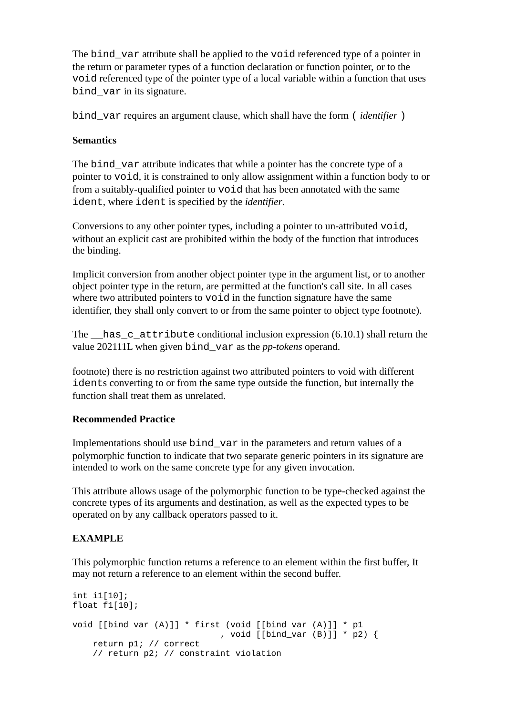The bind var attribute shall be applied to the void referenced type of a pointer in the return or parameter types of a function declaration or function pointer, or to the void referenced type of the pointer type of a local variable within a function that uses bind var in its signature.

bind\_var requires an argument clause, which shall have the form ( *identifier* )

#### **Semantics**

The bind var attribute indicates that while a pointer has the concrete type of a pointer to  $void$ , it is constrained to only allow assignment within a function body to or from a suitably-qualified pointer to void that has been annotated with the same ident, where ident is specified by the *identifier*.

Conversions to any other pointer types, including a pointer to un-attributed  $\text{void}$ , without an explicit cast are prohibited within the body of the function that introduces the binding.

Implicit conversion from another object pointer type in the argument list, or to another object pointer type in the return, are permitted at the function's call site. In all cases where two attributed pointers to void in the function signature have the same identifier, they shall only convert to or from the same pointer to object type footnote).

The has c\_attribute conditional inclusion expression (6.10.1) shall return the value 202111L when given bind\_var as the *pp-tokens* operand.

footnote) there is no restriction against two attributed pointers to void with different idents converting to or from the same type outside the function, but internally the function shall treat them as unrelated.

#### **Recommended Practice**

Implementations should use bind\_var in the parameters and return values of a polymorphic function to indicate that two separate generic pointers in its signature are intended to work on the same concrete type for any given invocation.

This attribute allows usage of the polymorphic function to be type-checked against the concrete types of its arguments and destination, as well as the expected types to be operated on by any callback operators passed to it.

#### **EXAMPLE**

This polymorphic function returns a reference to an element within the first buffer, It may not return a reference to an element within the second buffer.

```
int i1[10];
float f1[10];
void [[bind_var (A)]] * first (void [[bind_var (A)]] * p1
 , void [[bind_var (B)]] * p2) {
    return p1; // correct
    // return p2; // constraint violation
```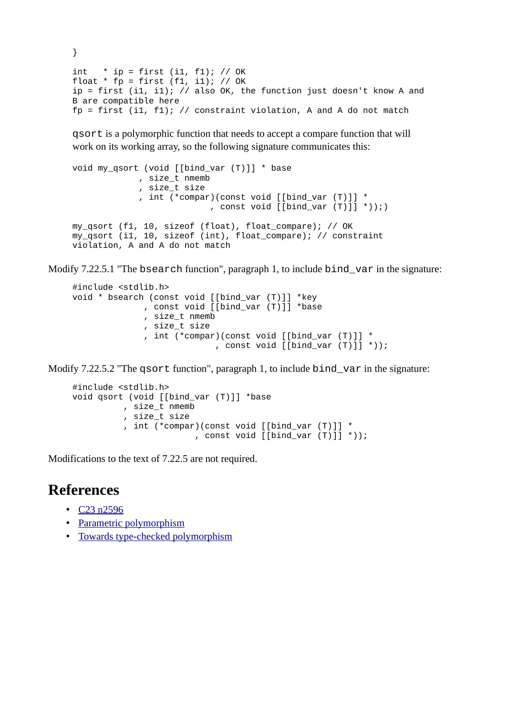```
int * ip = first (i1, f1); // OK
float * fp = first (f1, i1); // OK
ip = first (i1, i1); // also OK, the function just doesn't know A and 
B are compatible here
fp = first (i1, f1); // constraint violation, A and A do not match
```
qsort is a polymorphic function that needs to accept a compare function that will work on its working array, so the following signature communicates this:

```
void my_qsort (void [[bind_var (T)]] * base
                                  , size_t nmemb
                                  , size_t size
                                  , int (*compar)(const void [[bind_var (T)]] *
                                                                      , const void \lceil \lceil \frac{\text{bind}}{\text{var}} \cdot \frac{\text{t}}{\text{min}} \cdot \frac{\text{t}}{\text{min}} \cdot \frac{\text{t}}{\text{min}} \cdot \frac{\text{t}}{\text{min}} \cdot \frac{\text{t}}{\text{min}} \cdot \frac{\text{t}}{\text{min}} \cdot \frac{\text{t}}{\text{min}} \cdot \frac{\text{t}}{\text{min}} \cdot \frac{\text{t}}{\text{min}} \cdot \frac{\text{t}}{\text{min}} \cdot \frac{\text{t}}{\text{min}} \cdot \frac{\text{t}}{\text{min}} \cdot \frac{\text{t}}{\text{min}} \cdot \frac{\text{my_qsort (f1, 10, sizeof (float), float_compare); // OK
my_qsort (i1, 10, sizeof (int), float_compare); // constraint 
violation, A and A do not match
```
Modify 7.22.5.1 "The bsearch function", paragraph 1, to include bind\_var in the signature:

```
#include <stdlib.h>
void * bsearch (const void [[bind_var (T)]] *key
               , const void [[bind_var (T)]] *base
               , size_t nmemb
               , size_t size
               , int (*compar)(const void [[bind_var (T)]] *
                             , const void [[bind\_var(T)]] *));
```
Modify 7.22.5.2 "The qsort function", paragraph 1, to include bind var in the signature:

```
#include <stdlib.h>
void qsort (void [[bind_var (T)]] *base
           , size_t nmemb
           , size_t size
          , int (*compar)(const void [[bind_var (T)]] *
                         , const void [[bind_var (T)]] *));
```
Modifications to the text of 7.22.5 are not required.

### **References**

}

- • [C23 n2596](http://www.open-std.org/jtc1/sc22/wg14/www/docs/n2596.pdf)
- • [Parametric polymorphism](https://en.wikipedia.org/wiki/Parametric_polymorphism)
- [Towards type-checked polymorphism](https://gist.github.com/Leushenko/ad2db35940a77d7dc8575cf9744402f9)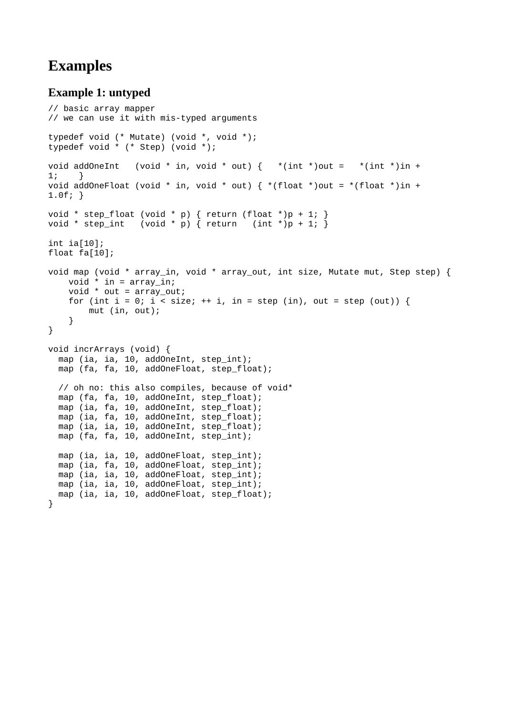### **Examples**

#### **Example 1: untyped**

```
// basic array mapper
// we can use it with mis-typed arguments
typedef void (* Mutate) (void *, void *);
typedef void * (* Step) (void *);
void addOneInt (void * in, void * out) { *(int *)out = *(int *)in +
1; }
void addOneFloat (void * in, void * out) { *(float *)out = *(float *)in +
1.0f; }
void * step_float (void * p) { return (float *)p + 1; }
void * step_int (void * p) { return (int *)p + 1; }
int ia[10];
float fa[10];
void map (void * array_in, void * array_out, int size, Mutate mut, Step step) {
    void * in = \arctan zvoid * out = array_out;
    for (int i = 0; i < size; ++ i, in = step (in), out = step (out)) {
         mut (in, out);
     }
}
void incrArrays (void) {
   map (ia, ia, 10, addOneInt, step_int);
  map (fa, fa, 10, addOneFloat, step_float);
   // oh no: this also compiles, because of void*
   map (fa, fa, 10, addOneInt, step_float);
   map (ia, fa, 10, addOneInt, step_float);
   map (ia, fa, 10, addOneInt, step_float);
   map (ia, ia, 10, addOneInt, step_float);
  map (fa, fa, 10, addOneInt, step_int);
   map (ia, ia, 10, addOneFloat, step_int);
   map (ia, fa, 10, addOneFloat, step_int);
   map (ia, ia, 10, addOneFloat, step_int);
   map (ia, ia, 10, addOneFloat, step_int);
   map (ia, ia, 10, addOneFloat, step_float);
}
```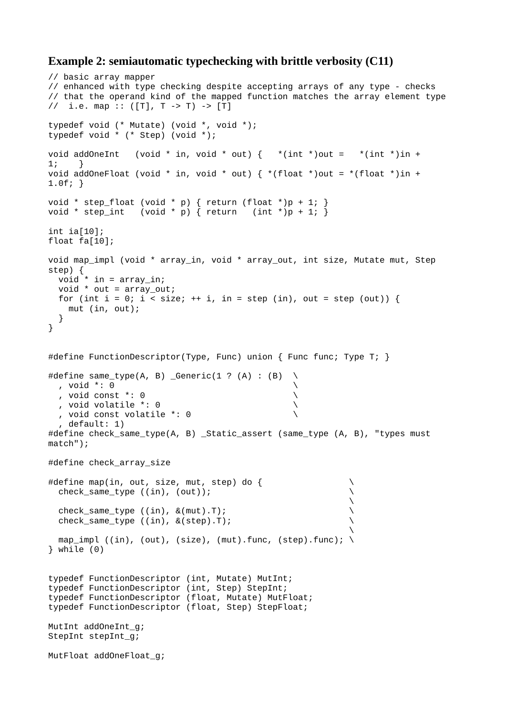#### **Example 2: semiautomatic typechecking with brittle verbosity (C11)**

```
// basic array mapper
// enhanced with type checking despite accepting arrays of any type - checks
\frac{1}{1} that the operand kind of the mapped function matches the array element type
// i.e. map :: ([T], T -> T) -> [T]
typedef void (* Mutate) (void *, void *);
typedef void *( (* Step) (void *);
void addOneInt (void * in, void * out) { *(int *)out = *(int *)in +
1; \quad \}void addOneFloat (void * in, void * out) { *( float *)out = *( float *)in +
1.0f; }
void * step_float (void * p) { return (float *)p + 1; }<br>void * step_int (void * p) { return (int *)p + 1; }
                   (void * p) \{ return (int *p) + 1; \}int ia[10];
float fa[10];
void map_impl (void * array_in, void * array_out, int size, Mutate mut, Step 
step) {
  void * in = array_in;
   void * out = array_out;
  for (int i = 0; i < size; ++ i, in = step (in), out = step (out)) {
     mut (in, out);
   }
}
#define FunctionDescriptor(Type, Func) union { Func func; Type T; }
#define same_type(A, B) _Generic(1 ? (A) : (B) \setminus , void *: 0 \
   , void const *: 0 \
   , void volatile *: 0 \
   , void const volatile *: 0 \
   , default: 1)
#define check_same_type(A, B) _Static_assert (same_type (A, B), "types must 
match");
#define check array size
#define map(in, out, size, mut, step) do { \qquad \qquad \backslashcheck\_same\_type ((in), (out)); \qquad \qquad \qquad \qquad\lambda and \lambda and \lambda and \lambda and \lambda and \lambda and \lambda and \lambda and \lambda and \lambda and \lambda and \lambda and \lambda and \lambda and \lambda and \lambda and \lambda and \lambda and \lambda and \lambda and \lambda and \lambda and \lambda and \lambda and \lambda 
  check\_same\_type ((in), &(mut).T);
  check\_same\_type ((in), &(step).T); \qquad \qquad \backslash\mathcal{N} and \mathcal{N} are the set of \mathcal{N}map_impl ((in), (out), (size), (mut).func, (step).func); \n\} while (0)typedef FunctionDescriptor (int, Mutate) MutInt;
typedef FunctionDescriptor (int, Step) StepInt;
typedef FunctionDescriptor (float, Mutate) MutFloat;
typedef FunctionDescriptor (float, Step) StepFloat;
MutInt addOneInt_g;
StepInt stepInt_g;
MutFloat addOneFloat_g;
```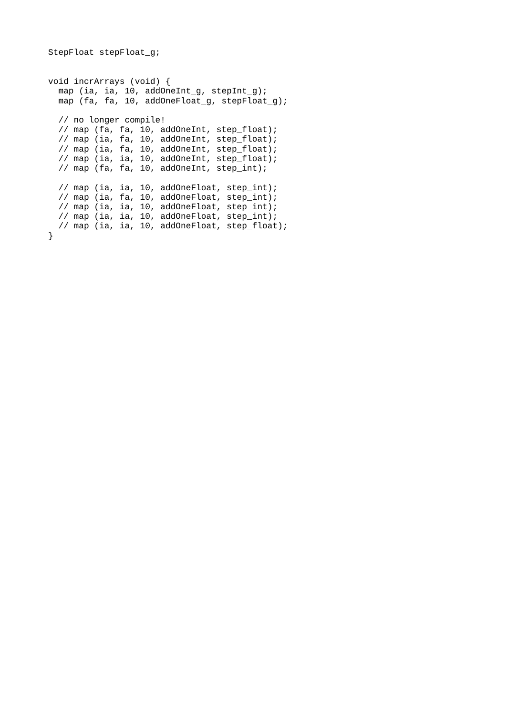```
void incrArrays (void) {
 map (ia, ia, 10, addOneInt_g, stepInt_g);
 map (fa, fa, 10, addOneFloat_g, stepFloat_g);
   // no longer compile!
 // map (fa, fa, 10, addOneInt, step_float);
 // map (ia, fa, 10, addOneInt, step_float);
 // map (ia, fa, 10, addOneInt, step_float);
 // map (ia, ia, 10, addOneInt, step_float);
   // map (fa, fa, 10, addOneInt, step_int);
  // map (ia, ia, 10, addOneFloat, step_int);
   // map (ia, fa, 10, addOneFloat, step_int);
  // map (ia, ia, 10, addOneFloat, step_int);
  // map (ia, ia, 10, addOneFloat, step_int);
   // map (ia, ia, 10, addOneFloat, step_float);
}
```